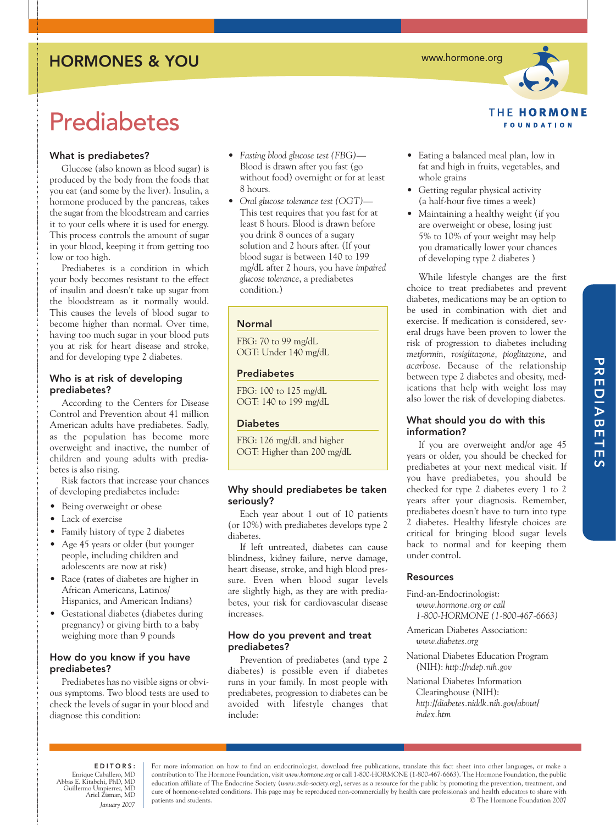# HORMONES & YOU

**Prediabetes** 

# What is prediabetes?

Glucose (also known as blood sugar) is produced by the body from the foods that you eat (and some by the liver). Insulin, a hormone produced by the pancreas, takes the sugar from the bloodstream and carries it to your cells where it is used for energy. This process controls the amount of sugar in your blood, keeping it from getting too low or too high.

Prediabetes is a condition in which your body becomes resistant to the effect of insulin and doesn't take up sugar from the bloodstream as it normally would. This causes the levels of blood sugar to become higher than normal. Over time, having too much sugar in your blood puts you at risk for heart disease and stroke, and for developing type 2 diabetes.

## Who is at risk of developing prediabetes?

According to the Centers for Disease Control and Prevention about 41 million American adults have prediabetes. Sadly, as the population has become more overweight and inactive, the number of children and young adults with prediabetes is also rising.

Risk factors that increase your chances of developing prediabetes include:

- Being overweight or obese
- Lack of exercise
- Family history of type 2 diabetes
- Age 45 years or older (but younger people, including children and adolescents are now at risk)
- Race (rates of diabetes are higher in African Americans, Latinos/ Hispanics, and American Indians)
- Gestational diabetes (diabetes during pregnancy) or giving birth to a baby weighing more than 9 pounds

# How do you know if you have prediabetes?

Prediabetes has no visible signs or obvious symptoms. Two blood tests are used to check the levels of sugar in your blood and diagnose this condition:

- *Fasting blood glucose test (FBG)* Blood is drawn after you fast (go without food) overnight or for at least 8 hours.
- *Oral glucose tolerance test (OGT)—* This test requires that you fast for at least 8 hours. Blood is drawn before you drink 8 ounces of a sugary solution and 2 hours after. (If your blood sugar is between 140 to 199 mg/dL after 2 hours, you have *impaired glucose tolerance*, a prediabetes condition.)

# Normal

FBG: 70 to 99 mg/dL OGT: Under 140 mg/dL

## Prediabetes

FBG: 100 to 125 mg/dL OGT: 140 to 199 mg/dL

## **Diabetes**

FBG: 126 mg/dL and higher OGT: Higher than 200 mg/dL

# Why should prediabetes be taken seriously?

Each year about 1 out of 10 patients (or 10%) with prediabetes develops type 2 diabetes.

If left untreated, diabetes can cause blindness, kidney failure, nerve damage, heart disease, stroke, and high blood pressure. Even when blood sugar levels are slightly high, as they are with prediabetes, your risk for cardiovascular disease increases.

# How do you prevent and treat prediabetes?

Prevention of prediabetes (and type 2 diabetes) is possible even if diabetes runs in your family. In most people with prediabetes, progression to diabetes can be avoided with lifestyle changes that include:

www.hormone.org



- Eating a balanced meal plan, low in fat and high in fruits, vegetables, and whole grains
- Getting regular physical activity (a half-hour five times a week)
- Maintaining a healthy weight (if you are overweight or obese, losing just 5% to 10% of your weight may help you dramatically lower your chances of developing type 2 diabetes )

While lifestyle changes are the first choice to treat prediabetes and prevent diabetes, medications may be an option to be used in combination with diet and exercise. If medication is considered, several drugs have been proven to lower the risk of progression to diabetes including *metformin*, *rosiglitazone*, *pioglitazone*, and *acarbose*. Because of the relationship between type 2 diabetes and obesity, medications that help with weight loss may also lower the risk of developing diabetes.

# What should you do with this information?

If you are overweight and/or age 45 years or older, you should be checked for prediabetes at your next medical visit. If you have prediabetes, you should be checked for type 2 diabetes every 1 to 2 years after your diagnosis. Remember, prediabetes doesn't have to turn into type 2 diabetes. Healthy lifestyle choices are critical for bringing blood sugar levels back to normal and for keeping them under control.

## Resources

Find-an-Endocrinologist: *www.hormone.org or call 1-800-HORMONE (1-800-467-6663)*

- American Diabetes Association: *www.diabetes.org*
- National Diabetes Education Program (NIH): *http://ndep.nih.gov*

National Diabetes Information Clearinghouse (NIH):

*http://diabetes.niddk.nih.gov/about/ index.htm*

# EDITORS:

Enrique Caballero, MD Abbas E. Kitabchi, PhD, MD Guillermo Umpierrez, MD Ariel Zisman, MD *January 2007*

For more information on how to find an endocrinologist, download free publications, translate this fact sheet into other languages, or make a contribution to The Hormone Foundation, visit *www.hormone.org* or call 1-800-HORMONE (1-800-467-6663). The Hormone Foundation, the public education affiliate of The Endocrine Society (*www.endo-society.org*), serves as a resource for the public by promoting the prevention, treatment, and cure of hormone-related conditions. This page may be reproduced non-commercially by health care professionals and health educators to share with patients and students. © The Hormone Foundation 2007